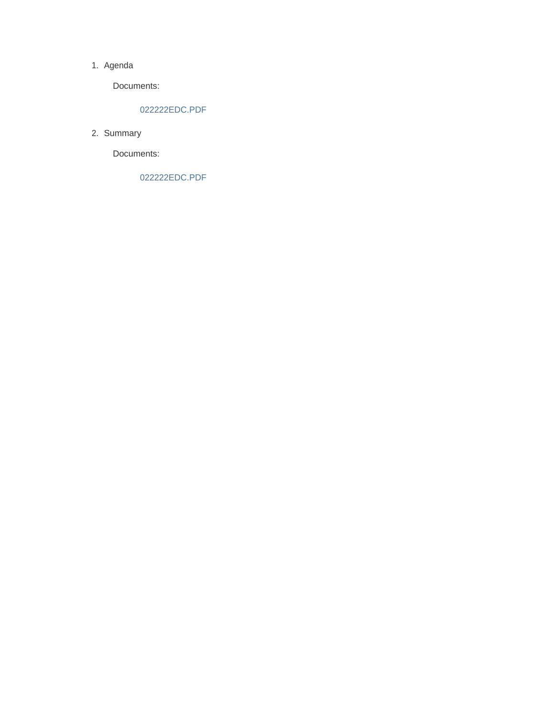#### 1. Agenda

Documents:

#### 022222EDC.PDF

2. Summary

Documents:

022222EDC.PDF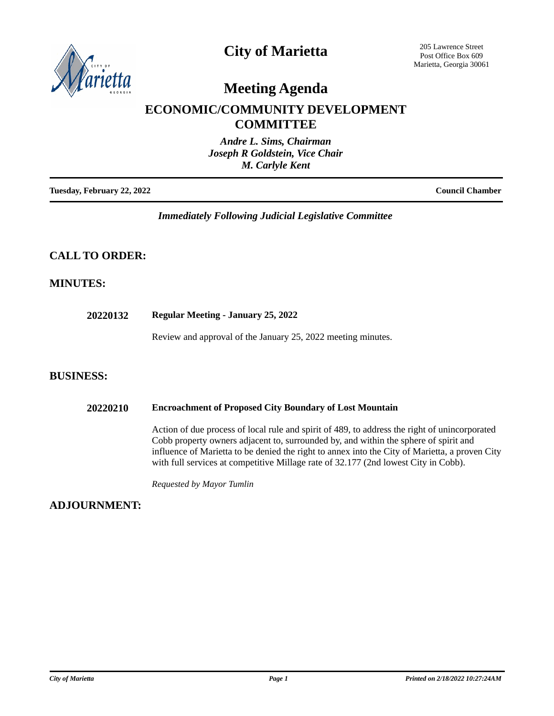

# **City of Marietta**

205 Lawrence Street Post Office Box 609 Marietta, Georgia 30061

# **Meeting Agenda**

## **ECONOMIC/COMMUNITY DEVELOPMENT COMMITTEE**

| Andre L. Sims, Chairman        |
|--------------------------------|
| Joseph R Goldstein, Vice Chair |
| M. Carlyle Kent                |
|                                |

**Tuesday, February 22, 2022 Council Chamber**

*Immediately Following Judicial Legislative Committee*

## **CALL TO ORDER:**

## **MINUTES:**

**20220132 Regular Meeting - January 25, 2022**

Review and approval of the January 25, 2022 meeting minutes.

## **BUSINESS:**

#### **20220210 Encroachment of Proposed City Boundary of Lost Mountain**

Action of due process of local rule and spirit of 489, to address the right of unincorporated Cobb property owners adjacent to, surrounded by, and within the sphere of spirit and influence of Marietta to be denied the right to annex into the City of Marietta, a proven City with full services at competitive Millage rate of 32.177 (2nd lowest City in Cobb).

*Requested by Mayor Tumlin*

**ADJOURNMENT:**